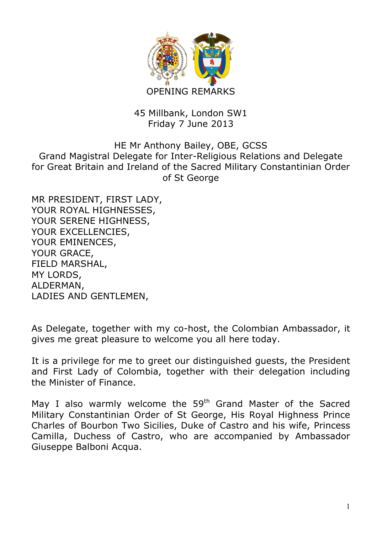

## 45 Millbank, London SW1 Friday 7 June 2013

## HE Mr Anthony Bailey, OBE, GCSS Grand Magistral Delegate for Inter-Religious Relations and Delegate for Great Britain and Ireland of the Sacred Military Constantinian Order of St George

MR PRESIDENT, FIRST LADY, YOUR ROYAL HIGHNESSES, YOUR SERENE HIGHNESS, YOUR EXCELLENCIES, YOUR EMINENCES, YOUR GRACE, FIELD MARSHAL, MY LORDS, ALDERMAN, LADIES AND GENTLEMEN,

As Delegate, together with my co-host, the Colombian Ambassador, it gives me great pleasure to welcome you all here today.

It is a privilege for me to greet our distinguished guests, the President and First Lady of Colombia, together with their delegation including the Minister of Finance.

May I also warmly welcome the 59<sup>th</sup> Grand Master of the Sacred Military Constantinian Order of St George, His Royal Highness Prince Charles of Bourbon Two Sicilies, Duke of Castro and his wife, Princess Camilla, Duchess of Castro, who are accompanied by Ambassador Giuseppe Balboni Acqua.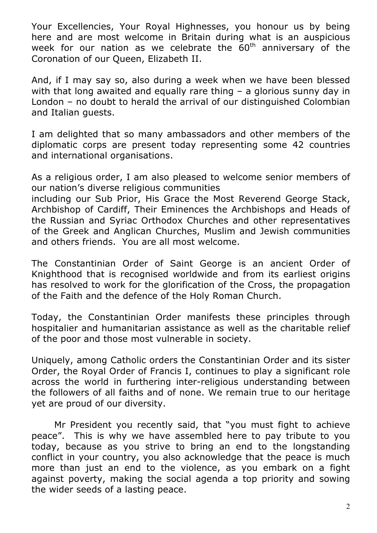Your Excellencies, Your Royal Highnesses, you honour us by being here and are most welcome in Britain during what is an auspicious week for our nation as we celebrate the  $60<sup>th</sup>$  anniversary of the Coronation of our Queen, Elizabeth II.

And, if I may say so, also during a week when we have been blessed with that long awaited and equally rare thing – a glorious sunny day in London – no doubt to herald the arrival of our distinguished Colombian and Italian guests.

I am delighted that so many ambassadors and other members of the diplomatic corps are present today representing some 42 countries and international organisations.

As a religious order, I am also pleased to welcome senior members of our nation's diverse religious communities

including our Sub Prior, His Grace the Most Reverend George Stack, Archbishop of Cardiff, Their Eminences the Archbishops and Heads of the Russian and Syriac Orthodox Churches and other representatives of the Greek and Anglican Churches, Muslim and Jewish communities and others friends. You are all most welcome.

The Constantinian Order of Saint George is an ancient Order of Knighthood that is recognised worldwide and from its earliest origins has resolved to work for the glorification of the Cross, the propagation of the Faith and the defence of the Holy Roman Church.

Today, the Constantinian Order manifests these principles through hospitalier and humanitarian assistance as well as the charitable relief of the poor and those most vulnerable in society.

Uniquely, among Catholic orders the Constantinian Order and its sister Order, the Royal Order of Francis I, continues to play a significant role across the world in furthering inter-religious understanding between the followers of all faiths and of none. We remain true to our heritage yet are proud of our diversity.

Mr President you recently said, that "you must fight to achieve peace". This is why we have assembled here to pay tribute to you today, because as you strive to bring an end to the longstanding conflict in your country, you also acknowledge that the peace is much more than just an end to the violence, as you embark on a fight against poverty, making the social agenda a top priority and sowing the wider seeds of a lasting peace.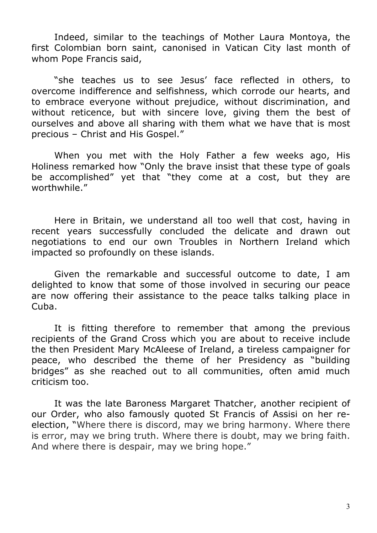Indeed, similar to the teachings of Mother Laura Montoya, the first Colombian born saint, canonised in Vatican City last month of whom Pope Francis said,

"she teaches us to see Jesus' face reflected in others, to overcome indifference and selfishness, which corrode our hearts, and to embrace everyone without prejudice, without discrimination, and without reticence, but with sincere love, giving them the best of ourselves and above all sharing with them what we have that is most precious – Christ and His Gospel."

When you met with the Holy Father a few weeks ago, His Holiness remarked how "Only the brave insist that these type of goals be accomplished" yet that "they come at a cost, but they are worthwhile."

Here in Britain, we understand all too well that cost, having in recent years successfully concluded the delicate and drawn out negotiations to end our own Troubles in Northern Ireland which impacted so profoundly on these islands.

Given the remarkable and successful outcome to date, I am delighted to know that some of those involved in securing our peace are now offering their assistance to the peace talks talking place in Cuba.

It is fitting therefore to remember that among the previous recipients of the Grand Cross which you are about to receive include the then President Mary McAleese of Ireland, a tireless campaigner for peace, who described the theme of her Presidency as "building bridges" as she reached out to all communities, often amid much criticism too.

It was the late Baroness Margaret Thatcher, another recipient of our Order, who also famously quoted St Francis of Assisi on her reelection, "Where there is discord, may we bring harmony. Where there is error, may we bring truth. Where there is doubt, may we bring faith. And where there is despair, may we bring hope."